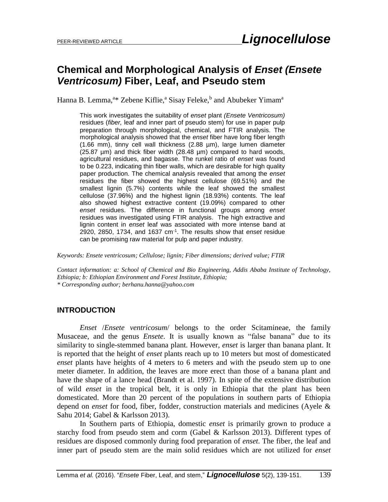# **Chemical and Morphological Analysis of** *Enset (Ensete Ventricosum)* **Fiber, Leaf, and Pseudo stem**

Hanna B. Lemma,<sup>a\*</sup> Zebene Kiflie,<sup>a</sup> Sisay Feleke,<sup>b</sup> and Abubeker Yimam<sup>a</sup>

This work investigates the suitability of *enset* plant *(Ensete Ventricosum)* residues (*fiber,* leaf and inner part of pseudo stem) for use in paper pulp preparation through morphological, chemical, and FTIR analysis. The morphological analysis showed that the *enset* fiber have long fiber length (1.66 mm), tinny cell wall thickness (2.88 µm), large lumen diameter (25.87 µm) and thick fiber width (28.48 µm) compared to hard woods, agricultural residues, and bagasse. The runkel ratio of *enset* was found to be 0.223, indicating thin fiber walls, which are desirable for high quality paper production. The chemical analysis revealed that among the *enset*  residues the fiber showed the highest cellulose (69.51%) and the smallest lignin (5.7%) contents while the leaf showed the smallest cellulose (37.96%) and the highest lignin (18.93%) contents. The leaf also showed highest extractive content (19.09%) compared to other *enset* residues. The difference in functional groups among *enset*  residues was investigated using FTIR analysis. The high extractive and lignin content in *enset* leaf was associated with more intense band at 2920, 2850, 1734, and 1637 cm-1 . The results show that *enset* residue can be promising raw material for pulp and paper industry.

*Keywords: Ensete ventricosum; Cellulose; lignin; Fiber dimensions; derived value; FTIR*

*Contact information: a: School of Chemical and Bio Engineering, Addis Ababa Institute of Technology, Ethiopia; b: Ethiopian Environment and Forest Institute, Ethiopia; \* Corresponding author; berhanu.hanna@yahoo.com* 

### **INTRODUCTION**

*Enset* /*Ensete ventricosum*/ belongs to the order Scitamineae, the family Musaceae, and the genus *Ensete.* It is usually known as "false banana" due to its similarity to single-stemmed banana plant. However, *enset* is larger than banana plant. It is reported that the height of *enset* plants reach up to 10 meters but most of domesticated *enset* plants have heights of 4 meters to 6 meters and with the pseudo stem up to one meter diameter. In addition, the leaves are more erect than those of a banana plant and have the shape of a lance head (Brandt et al. 1997). In spite of the extensive distribution of wild *enset* in the tropical belt, it is only in Ethiopia that the plant has been domesticated. More than 20 percent of the populations in southern parts of Ethiopia depend on *enset* for food, fiber, fodder, construction materials and medicines (Ayele & Sahu 2014; Gabel & Karlsson 2013).

In Southern parts of Ethiopia, domestic *enset* is primarily grown to produce a starchy food from pseudo stem and corm (Gabel & Karlsson 2013). Different types of residues are disposed commonly during food preparation of *enset*. The fiber, the leaf and inner part of pseudo stem are the main solid residues which are not utilized for *enset*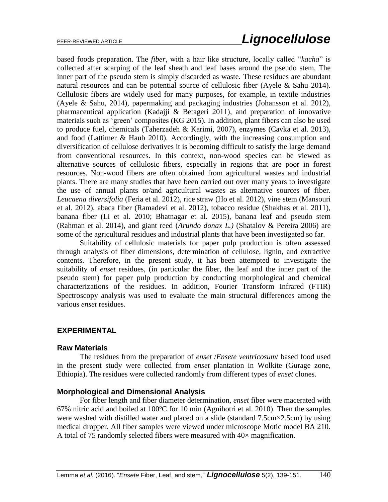based foods preparation. The *fiber*, with a hair like structure, locally called "*kacha*" is collected after scarping of the leaf sheath and leaf bases around the pseudo stem. The inner part of the pseudo stem is simply discarded as waste. These residues are abundant natural resources and can be potential source of cellulosic fiber (Ayele & Sahu 2014). Cellulosic fibers are widely used for many purposes, for example, in textile industries (Ayele & Sahu, 2014), papermaking and packaging industries (Johansson et al. 2012), pharmaceutical application (Kadajji & Betageri 2011), and preparation of innovative materials such as 'green' composites (KG 2015). In addition, plant fibers can also be used to produce fuel, chemicals (Taherzadeh & Karimi, 2007), enzymes (Cavka et al. 2013), and food (Lattimer & Haub 2010). Accordingly, with the increasing consumption and diversification of cellulose derivatives it is becoming difficult to satisfy the large demand from conventional resources. In this context, non-wood species can be viewed as alternative sources of cellulosic fibers, especially in regions that are poor in forest resources. Non-wood fibers are often obtained from agricultural wastes and industrial plants. There are many studies that have been carried out over many years to investigate the use of annual plants or/and agricultural wastes as alternative sources of fiber. *Leucaena diversifolia* (Feria et al. 2012), rice straw (Ho et al. 2012), vine stem (Mansouri et al. 2012), abaca fiber (Ramadevi et al. 2012), tobacco residue (Shakhas et al. 2011), banana fiber (Li et al. 2010; Bhatnagar et al. 2015), banana leaf and pseudo stem (Rahman et al. 2014), and giant reed (*Arundo donax L.)* (Shatalov & Pereira 2006) are some of the agricultural residues and industrial plants that have been investigated so far.

Suitability of cellulosic materials for paper pulp production is often assessed through analysis of fiber dimensions, determination of cellulose, lignin, and extractive contents. Therefore, in the present study, it has been attempted to investigate the suitability of *enset* residues, (in particular the fiber, the leaf and the inner part of the pseudo stem) for paper pulp production by conducting morphological and chemical characterizations of the residues. In addition, Fourier Transform Infrared (FTIR) Spectroscopy analysis was used to evaluate the main structural differences among the various *enset* residues.

### **EXPERIMENTAL**

### **Raw Materials**

The residues from the preparation of *enset* /*Ensete ventricosum*/ based food used in the present study were collected from *enset* plantation in Wolkite (Gurage zone, Ethiopia). The residues were collected randomly from different types of *enset* clones.

### **Morphological and Dimensional Analysis**

For fiber length and fiber diameter determination, *enset* fiber were macerated with 67% nitric acid and boiled at  $100^{\circ}$ C for 10 min (Agnihotri et al. 2010). Then the samples were washed with distilled water and placed on a slide (standard 7.5cm×2.5cm) by using medical dropper. All fiber samples were viewed under microscope Motic model BA 210. A total of 75 randomly selected fibers were measured with  $40\times$  magnification.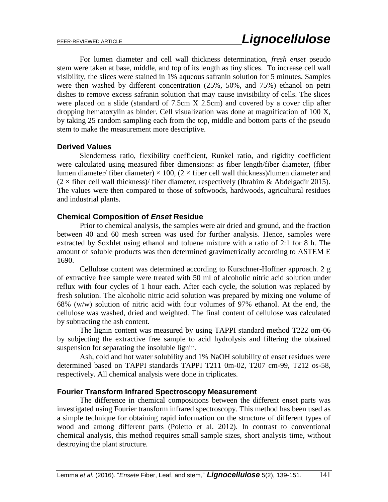For lumen diameter and cell wall thickness determination, *fresh enset* pseudo stem were taken at base, middle, and top of its length as tiny slices. To increase cell wall visibility, the slices were stained in 1% aqueous safranin solution for 5 minutes. Samples were then washed by different concentration (25%, 50%, and 75%) ethanol on petri dishes to remove excess safranin solution that may cause invisibility of cells. The slices were placed on a slide (standard of 7.5cm X 2.5cm) and covered by a cover clip after dropping hematoxylin as binder. Cell visualization was done at magnification of 100 X, by taking 25 random sampling each from the top, middle and bottom parts of the pseudo stem to make the measurement more descriptive.

### **Derived Values**

Slenderness ratio, flexibility coefficient, Runkel ratio, and rigidity coefficient were calculated using measured fiber dimensions: as fiber length/fiber diameter, (fiber lumen diameter/ fiber diameter)  $\times$  100, (2  $\times$  fiber cell wall thickness)/lumen diameter and  $(2 \times$  fiber cell wall thickness)/ fiber diameter, respectively (Ibrahim & Abdelgadir 2015). The values were then compared to those of softwoods, hardwoods, agricultural residues and industrial plants.

### **Chemical Composition of** *Enset* **Residue**

Prior to chemical analysis, the samples were air dried and ground, and the fraction between 40 and 60 mesh screen was used for further analysis. Hence, samples were extracted by Soxhlet using ethanol and toluene mixture with a ratio of 2:1 for 8 h. The amount of soluble products was then determined gravimetrically according to ASTEM E 1690.

Cellulose content was determined according to Kurschner-Hoffner approach. 2 g of extractive free sample were treated with 50 ml of alcoholic nitric acid solution under reflux with four cycles of 1 hour each. After each cycle, the solution was replaced by fresh solution. The alcoholic nitric acid solution was prepared by mixing one volume of 68% (w/w) solution of nitric acid with four volumes of 97% ethanol. At the end, the cellulose was washed, dried and weighted. The final content of cellulose was calculated by subtracting the ash content.

The lignin content was measured by using TAPPI standard method T222 om-06 by subjecting the extractive free sample to acid hydrolysis and filtering the obtained suspension for separating the insoluble lignin.

Ash, cold and hot water solubility and 1% NaOH solubility of enset residues were determined based on TAPPI standards TAPPI T211 0m-02, T207 cm-99, T212 os-58, respectively. All chemical analysis were done in triplicates.

### **Fourier Transform Infrared Spectroscopy Measurement**

The difference in chemical compositions between the different enset parts was investigated using Fourier transform infrared spectroscopy. This method has been used as a simple technique for obtaining rapid information on the structure of different types of wood and among different parts (Poletto et al. 2012). In contrast to conventional chemical analysis, this method requires small sample sizes, short analysis time, without destroying the plant structure.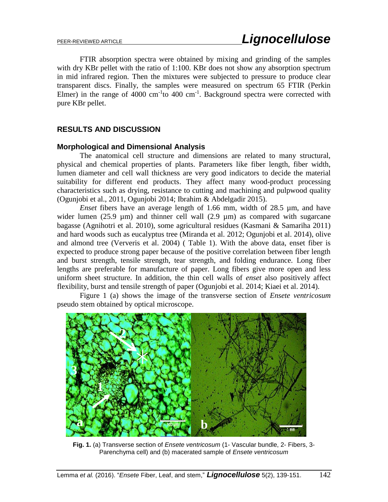FTIR absorption spectra were obtained by mixing and grinding of the samples with dry KBr pellet with the ratio of 1:100. KBr does not show any absorption spectrum in mid infrared region. Then the mixtures were subjected to pressure to produce clear transparent discs. Finally, the samples were measured on spectrum 65 FTIR (Perkin Elmer) in the range of  $4000 \text{ cm}^{-1}$  to  $400 \text{ cm}^{-1}$ . Background spectra were corrected with pure KBr pellet.

# **RESULTS AND DISCUSSION**

### **Morphological and Dimensional Analysis**

The anatomical cell structure and dimensions are related to many structural, physical and chemical properties of plants. Parameters like fiber length, fiber width, lumen diameter and cell wall thickness are very good indicators to decide the material suitability for different end products. They affect many wood-product processing characteristics such as drying, resistance to cutting and machining and pulpwood quality (Ogunjobi et al., 2011, Ogunjobi 2014; Ibrahim & Abdelgadir 2015).

*Enset* fibers have an average length of 1.66 mm, width of 28.5 µm, and have wider lumen (25.9  $\mu$ m) and thinner cell wall (2.9  $\mu$ m) as compared with sugarcane bagasse (Agnihotri et al. 2010), some agricultural residues (Kasmani & Samariha 2011) and hard woods such as eucalyptus tree (Miranda et al. 2012; Ogunjobi et al. 2014), olive and almond tree (Ververis et al. 2004) ( Table 1). With the above data, enset fiber is expected to produce strong paper because of the positive correlation between fiber length and burst strength, tensile strength, tear strength, and folding endurance. Long fiber lengths are preferable for manufacture of paper. Long fibers give more open and less uniform sheet structure. In addition, the thin cell walls of *enset* also positively affect flexibility, burst and tensile strength of paper (Ogunjobi et al. 2014; Kiaei et al. 2014).

Figure 1 (a) shows the image of the transverse section of *Ensete ventricosum* pseudo stem obtained by optical microscope.



**Fig. 1.** (a) Transverse section of *Ensete ventricosum* (1- Vascular bundle, 2- Fibers, 3- Parenchyma cell) and (b) macerated sample of *Ensete ventricosum*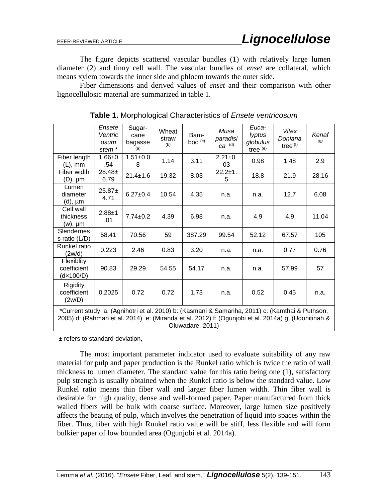The figure depicts scattered vascular bundles (1) with relatively large lumen diameter (2) and tinny cell wall. The vascular bundles of *enset* are collateral, which means xylem towards the inner side and phloem towards the outer side.

Fiber dimensions and derived values of *enset* and their comparison with other lignocellulosic material are summarized in table 1.

|                                                                                                                                                                                                                           | Ensete<br>Ventric<br>osum<br>stem <sup>*</sup> | Sugar-<br>cane<br>bagasse<br>(a) | Wheat<br>straw<br>(b) | Bam-<br>boo <sup>(c)</sup> | Musa<br>paradisi<br>$ca$ (d) | Euca-<br>lyptus<br>globulus<br>tree (e) | Vitex<br>Doniana<br>tree <sup>(f)</sup> | Kenaf<br>(g) |
|---------------------------------------------------------------------------------------------------------------------------------------------------------------------------------------------------------------------------|------------------------------------------------|----------------------------------|-----------------------|----------------------------|------------------------------|-----------------------------------------|-----------------------------------------|--------------|
| Fiber length<br>(L), mm                                                                                                                                                                                                   | $1.66 + 0$<br>.54                              | $1.51 \pm 0.0$<br>8              | 1.14                  | 3.11                       | $2.21 \pm 0.$<br>03          | 0.98                                    | 1.48                                    | 2.9          |
| Fiber width<br>$(D)$ , $\mu$ m                                                                                                                                                                                            | $28.48 \pm$<br>6.79                            | $21.4 \pm 1.6$                   | 19.32                 | 8.03                       | $22.2 \pm 1.$<br>5           | 18.8                                    | 21.9                                    | 28.16        |
| Lumen<br>diameter<br>(d), µm                                                                                                                                                                                              | $25.87+$<br>4.71                               | $6.27 \pm 0.4$                   | 10.54                 | 4.35                       | n.a.                         | n.a.                                    | 12.7                                    | 6.08         |
| Cell wall<br>thickness<br>(w), µm                                                                                                                                                                                         | $2.88 + 1$<br>.01                              | $7.74 \pm 0.2$                   | 4.39                  | 6.98                       | n.a.                         | 4.9                                     | 4.9                                     | 11.04        |
| Slendernes<br>s ratio $(L/D)$                                                                                                                                                                                             | 58.41                                          | 70.56                            | 59                    | 387.29                     | 99.54                        | 52.12                                   | 67.57                                   | 105          |
| Runkel ratio<br>(2w/d)                                                                                                                                                                                                    | 0.223                                          | 2.46                             | 0.83                  | 3.20                       | n.a.                         | n.a.                                    | 0.77                                    | 0.76         |
| Flexiblity<br>coefficient<br>(d×100/D)                                                                                                                                                                                    | 90.83                                          | 29.29                            | 54.55                 | 54.17                      | n.a.                         | n.a.                                    | 57.99                                   | 57           |
| Rigidity<br>coefficient<br>(2w/D)                                                                                                                                                                                         | 0.2025                                         | 0.72                             | 0.72                  | 1.73                       | n.a.                         | 0.52                                    | 0.45                                    | n.a.         |
| *Current study, a: (Agnihotri et al. 2010) b: (Kasmani & Samariha, 2011) c: (Kamthai & Puthson,<br>2005) d: (Rahman et al. 2014) e: (Miranda et al. 2012) f: (Ogunjobi et al. 2014a) g: (Udohitinah &<br>Oluwadare, 2011) |                                                |                                  |                       |                            |                              |                                         |                                         |              |

**Table 1.** Morphological Characteristics of *Ensete ventricosum*

± refers to standard deviation,

The most important parameter indicator used to evaluate suitability of any raw material for pulp and paper production is the Runkel ratio which is twice the ratio of wall thickness to lumen diameter. The standard value for this ratio being one (1), satisfactory pulp strength is usually obtained when the Runkel ratio is below the standard value. Low Runkel ratio means thin fiber wall and larger fiber lumen width. Thin fiber wall is desirable for high quality, dense and well-formed paper. Paper manufactured from thick walled fibers will be bulk with coarse surface. Moreover, large lumen size positively affects the beating of pulp, which involves the penetration of liquid into spaces within the fiber. Thus, fiber with high Runkel ratio value will be stiff, less flexible and will form bulkier paper of low bounded area (Ogunjobi et al. 2014a).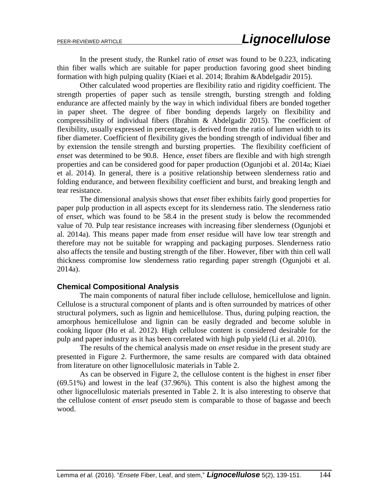In the present study, the Runkel ratio of *enset* was found to be 0.223, indicating thin fiber walls which are suitable for paper production favoring good sheet binding formation with high pulping quality (Kiaei et al. 2014; Ibrahim &Abdelgadir 2015).

Other calculated wood properties are flexibility ratio and rigidity coefficient. The strength properties of paper such as tensile strength, bursting strength and folding endurance are affected mainly by the way in which individual fibers are bonded together in paper sheet. The degree of fiber bonding depends largely on flexibility and compressibility of individual fibers (Ibrahim & Abdelgadir 2015). The coefficient of flexibility, usually expressed in percentage, is derived from the ratio of lumen width to its fiber diameter. Coefficient of flexibility gives the bonding strength of individual fiber and by extension the tensile strength and bursting properties. The flexibility coefficient of *enset* was determined to be 90.8. Hence, *enset* fibers are flexible and with high strength properties and can be considered good for paper production (Ogunjobi et al. 2014a; Kiaei et al. 2014). In general, there is a positive relationship between slenderness ratio and folding endurance, and between flexibility coefficient and burst, and breaking length and tear resistance.

The dimensional analysis shows that *enset* fiber exhibits fairly good properties for paper pulp production in all aspects except for its slenderness ratio. The slenderness ratio of *enset,* which was found to be 58.4 in the present study is below the recommended value of 70. Pulp tear resistance increases with increasing fiber slenderness (Ogunjobi et al. 2014a). This means paper made from *enset* residue will have low tear strength and therefore may not be suitable for wrapping and packaging purposes. Slenderness ratio also affects the tensile and busting strength of the fiber. However, fiber with thin cell wall thickness compromise low slenderness ratio regarding paper strength (Ogunjobi et al. 2014a).

### **Chemical Compositional Analysis**

The main components of natural fiber include cellulose, hemicellulose and lignin. Cellulose is a structural component of plants and is often surrounded by matrices of other structural polymers, such as lignin and hemicellulose. Thus, during pulping reaction, the amorphous hemicellulose and lignin can be easily degraded and become soluble in cooking liquor (Ho et al. 2012). High cellulose content is considered desirable for the pulp and paper industry as it has been correlated with high pulp yield (Li et al. 2010).

The results of the chemical analysis made on *enset* residue in the present study are presented in Figure 2. Furthermore, the same results are compared with data obtained from literature on other lignocellulosic materials in Table 2.

As can be observed in Figure 2, the cellulose content is the highest in *enset* fiber (69.51%) and lowest in the leaf (37.96%). This content is also the highest among the other lignocellulosic materials presented in Table 2. It is also interesting to observe that the cellulose content of *enset* pseudo stem is comparable to those of bagasse and beech wood.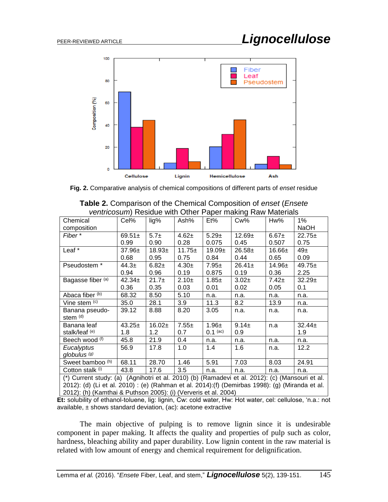

**Fig. 2.** Comparative analysis of chemical compositions of different parts of *enset* residue

| <i>Vertiticosum)</i> Residue With Other Paper maning Raw Materials                              |                   |           |             |            |             |             |             |
|-------------------------------------------------------------------------------------------------|-------------------|-----------|-------------|------------|-------------|-------------|-------------|
| Chemical                                                                                        | Cel%              | lig%      | Ash%        | Et%        | $Cw\%$      | Hw%         | $1\%$       |
| composition                                                                                     |                   |           |             |            |             |             | <b>NaOH</b> |
| Fiber*                                                                                          | $69.51 \pm$       | $5.7\pm$  | $4.62 +$    | $5.29 \pm$ | $12.69+$    | $6.67 +$    | $22.75+$    |
|                                                                                                 | 0.99              | 0.90      | 0.28        | 0.075      | 0.45        | 0.507       | 0.75        |
| Leaf *                                                                                          | 37.96±            | $18.93+$  | $11.75 \pm$ | $19.09+$   | $26.58 \pm$ | $16.66 \pm$ | $49\pm$     |
|                                                                                                 | 0.68              | 0.95      | 0.75        | 0.84       | 0.44        | 0.65        | 0.09        |
| Pseudostem *                                                                                    | 44.3 <sub>±</sub> | $6.82+$   | $4.30\pm$   | $7.95\pm$  | $26.41 \pm$ | $14.96 \pm$ | $49.75+$    |
|                                                                                                 | 0.94              | 0.96      | 0.19        | 0.875      | 0.19        | 0.36        | 2.25        |
| Bagasse fiber (a)                                                                               | $42.34 \pm$       | $21.7\pm$ | $2.10+$     | $1.85 \pm$ | $3.02+$     | $7.42 \pm$  | $32.29+$    |
|                                                                                                 | 0.36              | 0.35      | 0.03        | 0.01       | 0.02        | 0.05        | 0.1         |
| Abaca fiber (b)                                                                                 | 68.32             | 8.50      | 5.10        | n.a.       | n.a.        | n.a.        | n.a.        |
| Vine stem (c)                                                                                   | 35.0              | 28.1      | 3.9         | 11.3       | 8.2         | 13.9        | n.a.        |
| Banana pseudo-                                                                                  | 39.12             | 8.88      | 8.20        | 3.05       | n.a.        | n.a.        | n.a.        |
| stem (d)                                                                                        |                   |           |             |            |             |             |             |
| Banana leaf                                                                                     | $43.25+$          | $16.02 +$ | $7.55 \pm$  | $1.96 \pm$ | $9.14 \pm$  | n.a         | $32.44 \pm$ |
| stalk/leaf (e)                                                                                  | 1.8               | 1.2       | 0.7         | $0.1$ (ac) | 0.9         |             | 1.9         |
| Beech wood (f)                                                                                  | 45.8              | 21.9      | 0.4         | n.a.       | n.a.        | n.a.        | n.a.        |
| Eucalyptus                                                                                      | 56.9              | 17.8      | 1.0         | 1.4        | 1.6         | n.a.        | 12.2        |
| globulus <sup>(g)</sup>                                                                         |                   |           |             |            |             |             |             |
| Sweet bamboo (h)                                                                                | 68.11             | 28.70     | 1.46        | 5.91       | 7.03        | 8.03        | 24.91       |
| Cotton stalk (i)                                                                                | 43.8              | 17.6      | 3.5         | n.a.       | n.a.        | n.a.        | n.a.        |
| (*) Current study: (a) (Agnihotri et al. 2010) (b) (Ramadevi et al. 2012): (c) (Mansouri et al. |                   |           |             |            |             |             |             |
| 2012): (d) (Li et al. 2010) : (e) (Rahman et al. 2014):(f) (Demirbas 1998): (g) (Miranda et al. |                   |           |             |            |             |             |             |

| <b>Table 2.</b> Comparison of the Chemical Composition of enset (Ensete |                                                            |  |  |
|-------------------------------------------------------------------------|------------------------------------------------------------|--|--|
|                                                                         | ventricosum) Residue with Other Paper making Raw Materials |  |  |

**Et:** solubility of ethanol-toluene, lig: lignin, Cw: cold water, Hw: Hot water, cel: cellulose, 'n.a.: not available,  $\pm$  shows standard deviation, (ac): acetone extractive

2012): (h) (Kamthai & Puthson 2005): (i) (Ververis et al. 2004)

The main objective of pulping is to remove lignin since it is undesirable component in paper making. It affects the quality and properties of pulp such as color, hardness, bleaching ability and paper durability. Low lignin content in the raw material is related with low amount of energy and chemical requirement for delignification.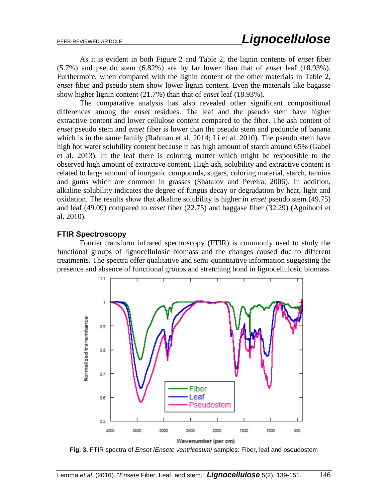As it is evident in both Figure 2 and Table 2, the lignin contents of *enset* fiber (5.7%) and pseudo stem (6.82%) are by far lower than that of *enset* leaf (18.93%). Furthermore, when compared with the lignin content of the other materials in Table 2, *enset* fiber and pseudo stem show lower lignin content. Even the materials like bagasse show higher lignin content (21.7%) than that of *enset* leaf (18.93%).

The comparative analysis has also revealed other significant compositional differences among the *enset* residues. The leaf and the pseudo stem have higher extractive content and lower cellulose content compared to the fiber. The ash content of *enset* pseudo stem and *enset* fiber is lower than the pseudo stem and peduncle of banana which is in the same family (Rahman et al*.* 2014; Li et al. 2010). The pseudo stem have high hot water solubility content because it has high amount of starch around 65% (Gabel et al. 2013). In the leaf there is coloring matter which might be responsible to the observed high amount of extractive content. High ash, solubility and extractive content is related to large amount of inorganic compounds, sugars, coloring material, starch, tannins and gums which are common in grasses (Shatalov and Pereira, 2006). In addition, alkaline solubility indicates the degree of fungus decay or degradation by heat, light and oxidation. The results show that alkaline solubility is higher in *enset* pseudo stem (49.75) and leaf (49.09) compared to *enset* fiber (22.75) and baggase fiber (32.29) (Agnihotri et al. 2010).

#### **FTIR Spectroscopy**

Fourier transform infrared spectroscopy (FTIR) is commonly used to study the functional groups of lignocellulosic biomass and the changes caused due to different treatments. The spectra offer qualitative and semi-quantitative information suggesting the presence and absence of functional groups and stretching bond in lignocellulosic biomass



**Fig. 3.** FTIR spectra of *Enset* /*Ensete ventricosum*/ samples: Fiber, leaf and pseudostem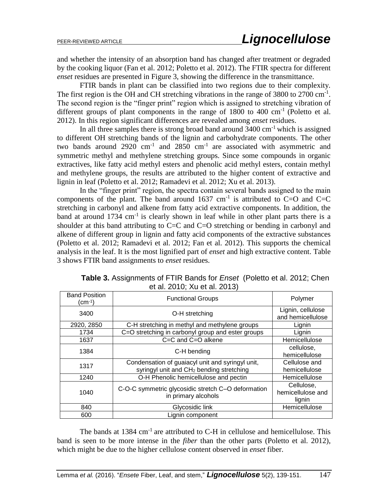and whether the intensity of an absorption band has changed after treatment or degraded by the cooking liquor (Fan et al. 2012; Poletto et al. 2012). The FTIR spectra for different *enset* residues are presented in Figure 3, showing the difference in the transmittance.

FTIR bands in plant can be classified into two regions due to their complexity. The first region is the OH and CH stretching vibrations in the range of 3800 to 2700 cm<sup>-1</sup>. The second region is the "finger print" region which is assigned to stretching vibration of different groups of plant components in the range of  $1800$  to  $400 \text{ cm}^{-1}$  (Poletto et al. 2012). In this region significant differences are revealed among *enset* residues.

In all three samples there is strong broad band around  $3400 \text{ cm}^{-1}$  which is assigned to different OH stretching bands of the lignin and carbohydrate components. The other two bands around  $2920 \text{ cm}^{-1}$  and  $2850 \text{ cm}^{-1}$  are associated with asymmetric and symmetric methyl and methylene stretching groups. Since some compounds in organic extractives, like fatty acid methyl esters and phenolic acid methyl esters, contain methyl and methylene groups, the results are attributed to the higher content of extractive and lignin in leaf (Poletto et al. 2012; Ramadevi et al. 2012; Xu et al. 2013).

In the "finger print" region, the spectra contain several bands assigned to the main components of the plant. The band around  $1637 \text{ cm}^{-1}$  is attributed to C=O and C=C stretching in carbonyl and alkene from fatty acid extractive components. In addition, the band at around  $1734 \text{ cm}^{-1}$  is clearly shown in leaf while in other plant parts there is a shoulder at this band attributing to C=C and C=O stretching or bending in carbonyl and alkene of different group in lignin and fatty acid components of the extractive substances (Poletto et al. 2012; Ramadevi et al. 2012; Fan et al. 2012). This supports the chemical analysis in the leaf. It is the most lignified part of *enset* and high extractive content. Table 3 shows FTIR band assignments to *enset* residues.

| <b>Band Position</b><br>(cm <sup>-1</sup> ) | <b>Functional Groups</b>                                                                                 | Polymer                                   |  |
|---------------------------------------------|----------------------------------------------------------------------------------------------------------|-------------------------------------------|--|
| 3400                                        | O-H stretching                                                                                           | Lignin, cellulose<br>and hemicellulose    |  |
| 2920, 2850                                  | C-H stretching in methyl and methylene groups                                                            | Lignin                                    |  |
| 1734                                        | C=O stretching in carbonyl group and ester groups                                                        | Lignin                                    |  |
| 1637                                        | C=C and C=O alkene                                                                                       | Hemicellulose                             |  |
| 1384                                        | C-H bending                                                                                              | cellulose.<br>hemicellulose               |  |
| 1317                                        | Condensation of guaiacyl unit and syringyl unit,<br>syringyl unit and CH <sub>2</sub> bending stretching | Cellulose and<br>hemicellulose            |  |
| 1240                                        | O-H Phenolic hemicellulose and pectin                                                                    | Hemicellulose                             |  |
| 1040                                        | C-O-C symmetric glycosidic stretch C-O deformation<br>in primary alcohols                                | Cellulose,<br>hemicellulose and<br>lignin |  |
| 840                                         | Glycosidic link                                                                                          | Hemicellulose                             |  |
| 600                                         | Lignin component                                                                                         |                                           |  |

**Table 3.** Assignments of FTIR Bands for *Enset* (Poletto et al. 2012; Chen et al. 2010; Xu et al. 2013)

The bands at  $1384 \text{ cm}^{-1}$  are attributed to C-H in cellulose and hemicellulose. This band is seen to be more intense in the *fiber* than the other parts (Poletto et al. 2012), which might be due to the higher cellulose content observed in *enset* fiber.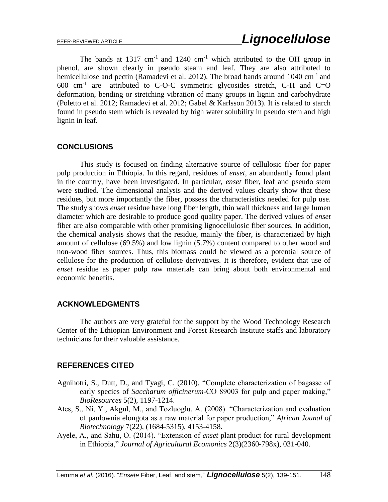The bands at  $1317 \text{ cm}^{-1}$  and  $1240 \text{ cm}^{-1}$  which attributed to the OH group in phenol, are shown clearly in pseudo steam and leaf. They are also attributed to hemicellulose and pectin (Ramadevi et al. 2012). The broad bands around 1040 cm<sup>-1</sup> and  $600 \text{ cm}^{-1}$  are attributed to C-O-C symmetric glycosides stretch, C-H and C=O deformation, bending or stretching vibration of many groups in lignin and carbohydrate (Poletto et al. 2012; Ramadevi et al. 2012; Gabel & Karlsson 2013). It is related to starch found in pseudo stem which is revealed by high water solubility in pseudo stem and high lignin in leaf.

# **CONCLUSIONS**

This study is focused on finding alternative source of cellulosic fiber for paper pulp production in Ethiopia. In this regard, residues of *enset*, an abundantly found plant in the country, have been investigated. In particular, *enset* fiber, leaf and pseudo stem were studied. The dimensional analysis and the derived values clearly show that these residues, but more importantly the fiber, possess the characteristics needed for pulp use. The study shows *enset* residue have long fiber length, thin wall thickness and large lumen diameter which are desirable to produce good quality paper. The derived values of *enset*  fiber are also comparable with other promising lignocellulosic fiber sources. In addition, the chemical analysis shows that the residue, mainly the fiber, is characterized by high amount of cellulose (69.5%) and low lignin (5.7%) content compared to other wood and non-wood fiber sources. Thus, this biomass could be viewed as a potential source of cellulose for the production of cellulose derivatives. It is therefore, evident that use of *enset* residue as paper pulp raw materials can bring about both environmental and economic benefits.

# **ACKNOWLEDGMENTS**

The authors are very grateful for the support by the Wood Technology Research Center of the Ethiopian Environment and Forest Research Institute staffs and laboratory technicians for their valuable assistance.

# **REFERENCES CITED**

- Agnihotri, S., Dutt, D., and Tyagi, C. (2010). "Complete characterization of bagasse of early species of *Saccharum officinerum*-CO 89003 for pulp and paper making," *BioResources* 5(2), 1197-1214.
- Ates, S., Ni, Y., Akgul, M., and Tozluoglu, A. (2008). "Characterization and evaluation of paulownia elongota as a raw material for paper production," *African Jounal of Biotechnology* 7(22), (1684-5315), 4153-4158.
- Ayele, A., and Sahu, O. (2014). "Extension of *enset* plant product for rural development in Ethiopia," *Journal of Agricultural Ecomonics* 2(3)(2360-798x), 031-040.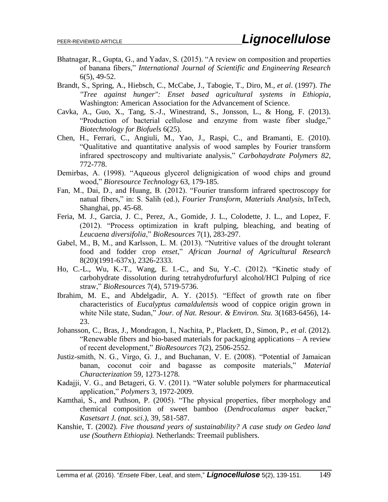- Bhatnagar, R., Gupta, G., and Yadav, S. (2015). "A review on composition and properties of banana fibers," *International Journal of Scientific and Engineering Research*  6(5), 49-52.
- Brandt, S., Spring, A., Hiebsch, C., McCabe, J., Tabogie, T., Diro, M., *et al*. (1997). *The "Tree against hunger": Enset based agricultural systems in Ethiopia*, Washington: American Association for the Advancement of Science.
- Cavka, A., Guo, X., Tang, S.-J., Winestrand, S., Jonsson, L., & Hong, F. (2013). "Production of bacterial cellulose and enzyme from waste fiber sludge," *Biotechnology for Biofuels* 6(25).
- Chen, H., Ferrari, C., Angiuli, M., Yao, J., Raspi, C., and Bramanti, E. (2010). "Qualitative and quantitative analysis of wood samples by Fourier transform infrared spectroscopy and multivariate analysis," *Carbohaydrate Polymers 82*, 772-778.
- Demirbas, A. (1998). "Aqueous glycerol delignigication of wood chips and ground wood," *Bioresource Technology* 63, 179-185.
- Fan, M., Dai, D., and Huang, B. (2012). "Fourier transform infrared spectroscopy for natual fibers," in: S. Salih (ed.), *Fourier Transform, Materials Analysis*, InTech, Shanghai, pp. 45-68.
- Feria, M. J., Garcia, J. C., Perez, A., Gomide, J. L., Colodette, J. L., and Lopez, F. (2012). "Process optimization in kraft pulping, bleaching, and beating of *Leucaena diversifolia*," *BioResources* 7(1), 283-297.
- Gabel, M., B, M., and Karlsson, L. M. (2013). "Nutritive values of the drought tolerant food and fodder crop *enset*," *African Journal of Agricultural Research*  8(20)(1991-637x), 2326-2333.
- Ho, C.-L., Wu, K.-T., Wang, E. I.-C., and Su, Y.-C. (2012). "Kinetic study of carbohydrate dissolution during tetrahydrofurfuryl alcohol/HCl Pulping of rice straw," *BioResources* 7(4), 5719-5736.
- Ibrahim, M. E., and Abdelgadir, A. Y. (2015). "Effect of growth rate on fiber characteristics of *Eucalyptus camaldulensis* wood of coppice origin grown in white Nile state, Sudan," *Jour. of Nat. Resour. & Environ. Stu.* 3(1683-6456), 14- 23.
- Johansson, C., Bras, J., Mondragon, I., Nachita, P., Plackett, D., Simon, P., *et al*. (2012). "Renewable fibers and bio-based materials for packaging applications – A review of recent development," *BioResources* 7(2), 2506-2552.
- Justiz-smith, N. G., Virgo, G. J., and Buchanan, V. E. (2008). "Potential of Jamaican banan, coconut coir and bagasse as composite materials," *Material Characterization* 59, 1273-1278.
- Kadajji, V. G., and Betageri, G. V. (2011). "Water soluble polymers for pharmaceutical application," *Polymers* 3, 1972-2009.
- Kamthai, S., and Puthson, P. (2005). "The physical properties, fiber morphology and chemical composition of sweet bamboo (*Dendrocalamus asper* backer," *Kasetsart J. (nat. sci.),* 39, 581-587.
- Kanshie, T. (2002). *Five thousand years of sustainability? A case study on Gedeo land use (Southern Ethiopia).* Netherlands: Treemail publishers.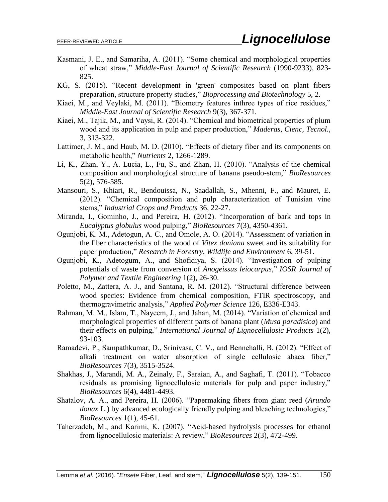- Kasmani, J. E., and Samariha, A. (2011). "Some chemical and morphological properties of wheat straw," *Middle-East Journal of Scientific Research* (1990-9233), 823- 825.
- KG, S. (2015). "Recent development in 'green' composites based on plant fibers preparation, structure property studies," *Bioprocessing and Biotechnology* 5, 2.
- Kiaei, M., and Veylaki, M. (2011). "Biometry features inthree types of rice residues," *Middle-East Journal of Scientific Research* 9(3), 367-371.
- Kiaei, M., Tajik, M., and Vaysi, R. (2014). "Chemical and biometrical properties of plum wood and its application in pulp and paper production," *Maderas, Cienc, Tecnol.,*  3, 313-322.
- Lattimer, J. M., and Haub, M. D. (2010). "Effects of dietary fiber and its components on metabolic health," *Nutrients* 2, 1266-1289.
- Li, K., Zhan, Y., A. Lucia, L., Fu, S., and Zhan, H. (2010). "Analysis of the chemical composition and morphological structure of banana pseudo-stem," *BioResources*  5(2), 576-585.
- Mansouri, S., Khiari, R., Bendouissa, N., Saadallah, S., Mhenni, F., and Mauret, E. (2012). "Chemical composition and pulp characterization of Tunisian vine stems," *Industrial Crops and Products* 36, 22-27.
- Miranda, I., Gominho, J., and Pereira, H. (2012). "Incorporation of bark and tops in *Eucalyptus globulus* wood pulping," *BioResources* 7(3), 4350-4361.
- Ogunjobi, K. M., Adetogun, A. C., and Omole, A. O. (2014). "Assessment of variation in the fiber characteristics of the wood of *Vitex doniana* sweet and its suitability for paper production," *Research in Forestry, Wildlife and Environment* 6, 39-51.
- Ogunjobi, K., Adetogum, A., and Shofidiya, S. (2014). "Investigation of pulping potentials of waste from conversion of *Anogeissus leiocarpus*," *IOSR Journal of Polymer and Textile Engineering* 1(2), 26-30.
- Poletto, M., Zattera, A. J., and Santana, R. M. (2012). "Structural difference between wood species: Evidence from chemical composition, FTIR spectroscopy, and thermogravimetric analysis," *Applied Polymer Science* 126, E336-E343.
- Rahman, M. M., Islam, T., Nayeem, J., and Jahan, M. (2014). "Variation of chemical and morphological properties of different parts of banana plant (*Musa paradisica*) and their effects on pulping," *International Journal of Lignocellulosic Products* 1(2), 93-103.
- Ramadevi, P., Sampathkumar, D., Srinivasa, C. V., and Bennehalli, B. (2012). "Effect of alkali treatment on water absorption of single cellulosic abaca fiber," *BioResources* 7(3), 3515-3524.
- Shakhas, J., Marandi, M. A., Zeinaly, F., Saraian, A., and Saghafi, T. (2011). "Tobacco residuals as promising lignocellulosic materials for pulp and paper industry," *BioResources* 6(4), 4481-4493.
- Shatalov, A. A., and Pereira, H. (2006). "Papermaking fibers from giant reed (*Arundo donax* L.) by advanced ecologically friendly pulping and bleaching technologies," *BioResources* 1(1), 45-61.
- Taherzadeh, M., and Karimi, K. (2007). "Acid-based hydrolysis processes for ethanol from lignocellulosic materials: A review," *BioResources* 2(3), 472-499.